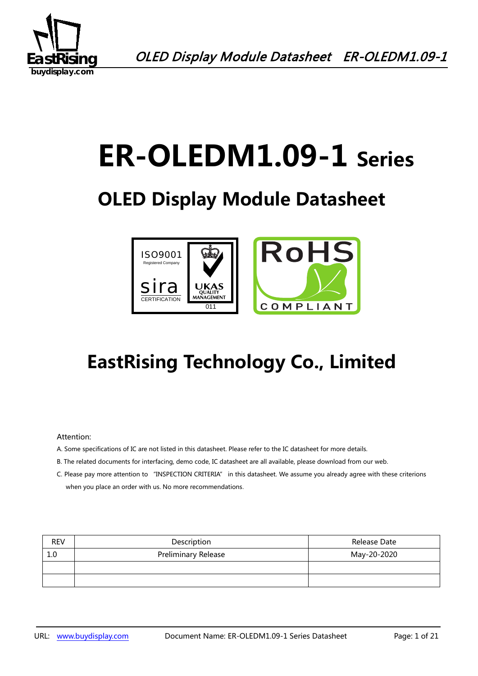

# **ER-OLEDM1.09-1 Series**

## **OLED Display Module Datasheet**



## **EastRising Technology Co., Limited**

#### Attention:

- A. Some specifications of IC are not listed in this datasheet. Please refer to the IC datasheet for more details.
- B. The related documents for interfacing, demo code, IC datasheet are all available, please download from our web.
- C. Please pay more attention to "INSPECTION CRITERIA" in this datasheet. We assume you already agree with these criterions when you place an order with us. No more recommendations.

| <b>REV</b> | Description                | Release Date |
|------------|----------------------------|--------------|
| 1.0        | <b>Preliminary Release</b> | May-20-2020  |
|            |                            |              |
|            |                            |              |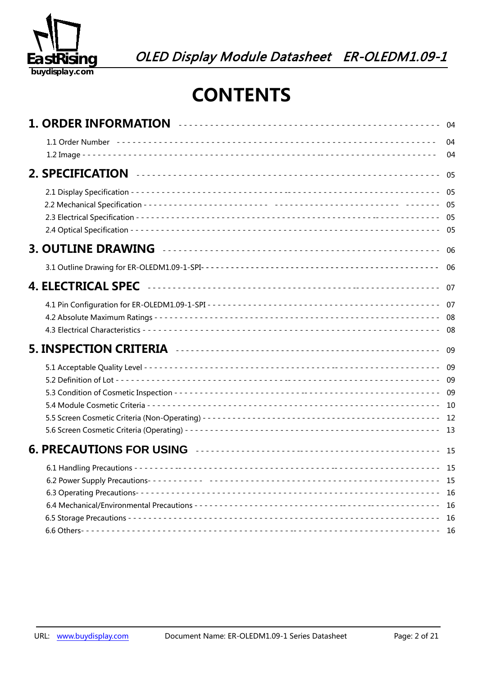

## **CONTENTS**

|                                                                                                                                                                                                                                     | 04<br>04                 |
|-------------------------------------------------------------------------------------------------------------------------------------------------------------------------------------------------------------------------------------|--------------------------|
|                                                                                                                                                                                                                                     | 05                       |
|                                                                                                                                                                                                                                     |                          |
| 3. OUTLINE DRAWING <b>continuous</b> contact the contract of the contract of the contract of the contract of the contract of the contract of the contract of the contract of the contract of the contract of the contract of the co | - 06                     |
|                                                                                                                                                                                                                                     |                          |
|                                                                                                                                                                                                                                     |                          |
|                                                                                                                                                                                                                                     |                          |
|                                                                                                                                                                                                                                     |                          |
|                                                                                                                                                                                                                                     |                          |
|                                                                                                                                                                                                                                     |                          |
|                                                                                                                                                                                                                                     | - 15<br>16<br>16<br>- 16 |
|                                                                                                                                                                                                                                     |                          |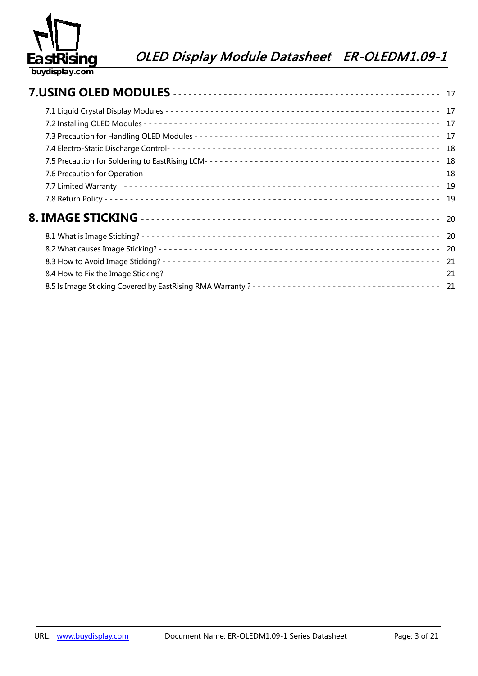

|  | 18   |
|--|------|
|  |      |
|  | - 18 |
|  |      |
|  |      |
|  |      |
|  |      |
|  |      |
|  |      |
|  |      |
|  |      |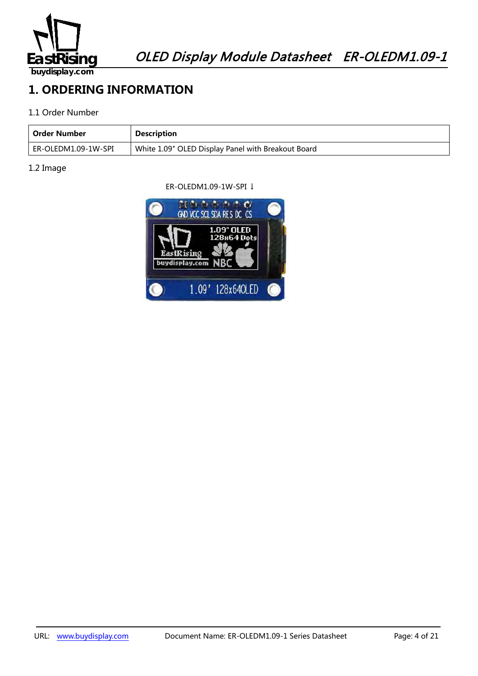

## **1. ORDERING INFORMATION**

#### 1.1 Order Number

| Order Number        | <b>Description</b>                                 |
|---------------------|----------------------------------------------------|
| ER-OLEDM1.09-1W-SPI | White 1.09" OLED Display Panel with Breakout Board |

#### 1.2 Image

ER-OLEDM1.09-1W-SPI ↓

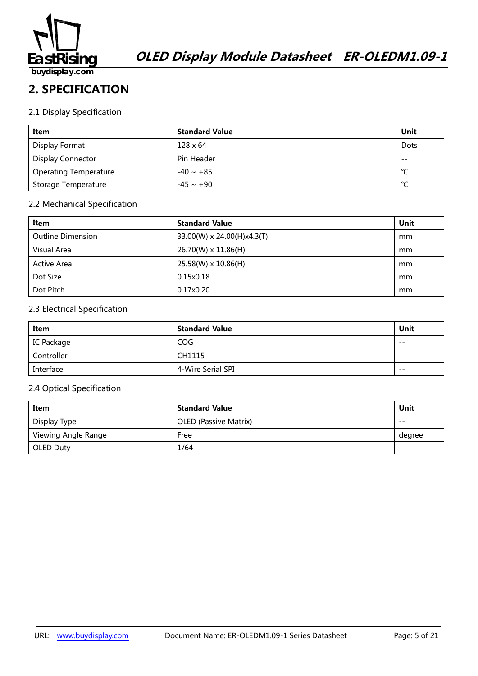

## **2. SPECIFICATION**

#### 2.1 Display Specification

| Item                         | <b>Standard Value</b> | Unit   |
|------------------------------|-----------------------|--------|
| Display Format               | $128 \times 64$       | Dots   |
| <b>Display Connector</b>     | Pin Header            | $- -$  |
| <b>Operating Temperature</b> | $-40 \sim +85$        | $\sim$ |
| Storage Temperature          | $-45 \sim +90$        | $\sim$ |

#### 2.2 Mechanical Specification

| Item                     | <b>Standard Value</b>      | Unit |
|--------------------------|----------------------------|------|
| <b>Outline Dimension</b> | 33.00(W) x 24.00(H)x4.3(T) | mm   |
| Visual Area              | 26.70(W) x 11.86(H)        | mm   |
| <b>Active Area</b>       | 25.58(W) x 10.86(H)        | mm   |
| Dot Size                 | 0.15x0.18                  | mm   |
| Dot Pitch                | 0.17x0.20                  | mm   |

#### 2.3 Electrical Specification

| Item       | <b>Standard Value</b> | Unit  |
|------------|-----------------------|-------|
| IC Package | COG                   | $- -$ |
| Controller | CH1115                | $- -$ |
| Interface  | 4-Wire Serial SPI     | $- -$ |

#### 2.4 Optical Specification

| Item                | <b>Standard Value</b>        | Unit   |
|---------------------|------------------------------|--------|
| Display Type        | <b>OLED (Passive Matrix)</b> | $- -$  |
| Viewing Angle Range | Free                         | degree |
| OLED Duty           | 1/64                         | $- -$  |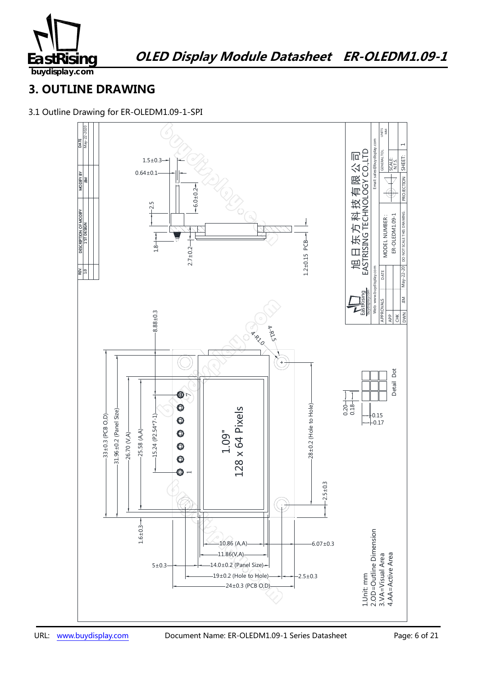

### **3. OUTLINE DRAWING**

3.1 Outline Drawing for ER-OLEDM1.09-1-SPI

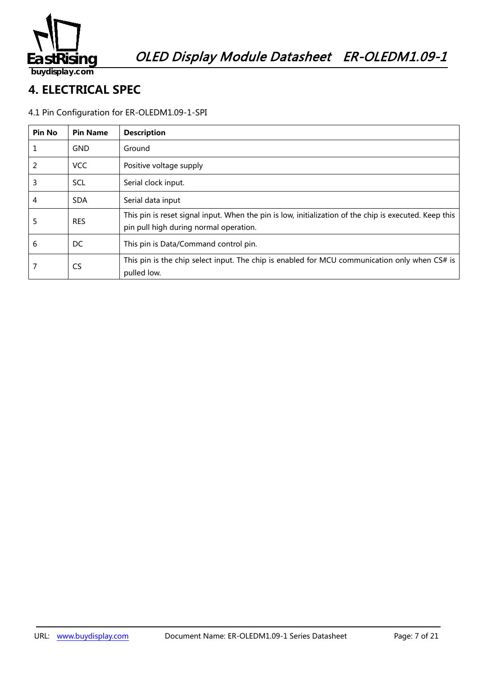

## **4. ELECTRICAL SPEC**

#### 4.1 Pin Configuration for ER-OLEDM1.09-1-SPI

| <b>Pin No</b> | <b>Pin Name</b> | <b>Description</b>                                                                                                                               |
|---------------|-----------------|--------------------------------------------------------------------------------------------------------------------------------------------------|
| 1             | <b>GND</b>      | Ground                                                                                                                                           |
| 2             | <b>VCC</b>      | Positive voltage supply                                                                                                                          |
| 3             | <b>SCL</b>      | Serial clock input.                                                                                                                              |
| 4             | <b>SDA</b>      | Serial data input                                                                                                                                |
| 5             | <b>RES</b>      | This pin is reset signal input. When the pin is low, initialization of the chip is executed. Keep this<br>pin pull high during normal operation. |
| 6             | DC              | This pin is Data/Command control pin.                                                                                                            |
|               | <b>CS</b>       | This pin is the chip select input. The chip is enabled for MCU communication only when CS# is<br>pulled low.                                     |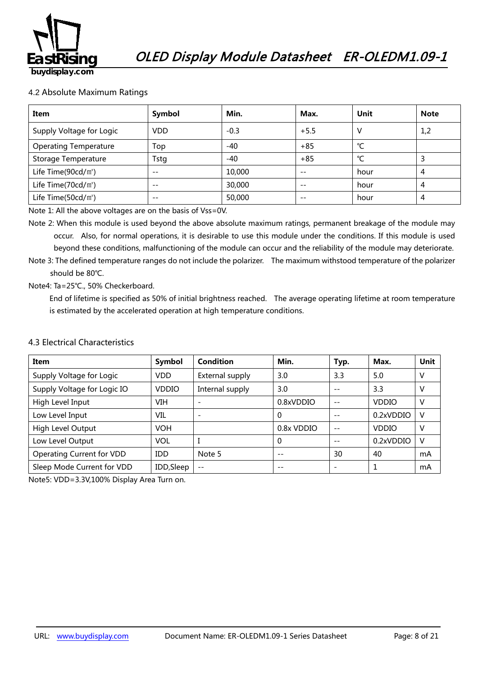

#### 4.2 Absolute Maximum Ratings

| Item                         | Symbol     | Min.   | Max.   | Unit | <b>Note</b> |
|------------------------------|------------|--------|--------|------|-------------|
| Supply Voltage for Logic     | <b>VDD</b> | $-0.3$ | $+5.5$ | V    | 1,2         |
| <b>Operating Temperature</b> | Top        | -40    | $+85$  | °C   |             |
| Storage Temperature          | Tstg       | $-40$  | $+85$  | °C   | 3           |
| Life Time( $90cd/m^2$ )      | $- -$      | 10,000 | $- -$  | hour | 4           |
| Life Time( $70cd/m^2$ )      | $- -$      | 30,000 | $- -$  | hour | 4           |
| Life Time( $50cd/m^2$ )      | $- -$      | 50,000 | $- -$  | hour | 4           |

Note 1: All the above voltages are on the basis of Vss=0V.

Note 2: When this module is used beyond the above absolute maximum ratings, permanent breakage of the module may occur. Also, for normal operations, it is desirable to use this module under the conditions. If this module is used beyond these conditions, malfunctioning of the module can occur and the reliability of the module may deteriorate.

Note 3: The defined temperature ranges do not include the polarizer. The maximum withstood temperature of the polarizer should be 80℃.

#### Note4: Ta=25℃., 50% Checkerboard.

End of lifetime is specified as 50% of initial brightness reached. The average operating lifetime at room temperature is estimated by the accelerated operation at high temperature conditions.

#### 4.3 Electrical Characteristics

| Item                                        | Symbol     | Condition       | Min.       | Typ. | Max.         | Unit |
|---------------------------------------------|------------|-----------------|------------|------|--------------|------|
| Supply Voltage for Logic                    | <b>VDD</b> | External supply | 3.0        | 3.3  | 5.0          | V    |
| Supply Voltage for Logic IO<br><b>VDDIO</b> |            | Internal supply | 3.0        | $ -$ | 3.3          | v    |
| High Level Input                            | VIH        |                 | 0.8xVDDIO  | $ -$ | <b>VDDIO</b> | v    |
| Low Level Input                             | VIL        |                 | 0          |      | 0.2xVDDIO    | V    |
| High Level Output                           | <b>VOH</b> |                 | 0.8x VDDIO | $ -$ | <b>VDDIO</b> | v    |
| Low Level Output                            | VOL        |                 | $\Omega$   |      | 0.2xVDDIO    | V    |
| Operating Current for VDD<br><b>IDD</b>     |            | Note 5          | $ -$       | 30   | 40           | mA   |
| Sleep Mode Current for VDD<br>IDD, Sleep    |            | $- -$           | $ -$       |      |              | mA   |

Note5: VDD=3.3V,100% Display Area Turn on.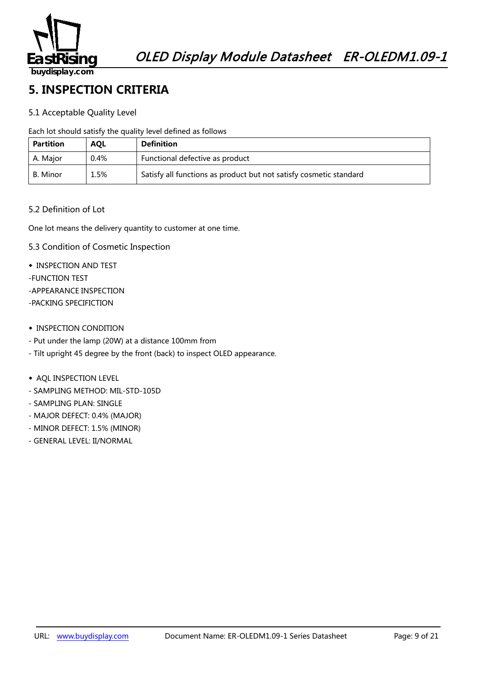

## **5. INSPECTION CRITERIA**

#### 5.1 Acceptable Quality Level

Each lot should satisfy the quality level defined as follows

| <b>Partition</b> | <b>AOL</b> | <b>Definition</b>                                                  |  |
|------------------|------------|--------------------------------------------------------------------|--|
| A. Maior         | $0.4\%$    | Functional defective as product                                    |  |
| B. Minor         | 1.5%       | Satisfy all functions as product but not satisfy cosmetic standard |  |

#### 5.2 Definition of Lot

One lot means the delivery quantity to customer at one time.

- 5.3 Condition of Cosmetic Inspection
- ◆ INSPECTION AND TEST
- -FUNCTION TEST
- -APPEARANCE INSPECTION
- -PACKING SPECIFICTION
- ◆ INSPECTION CONDITION
- Put under the lamp (20W) at a distance 100mm from
- Tilt upright 45 degree by the front (back) to inspect OLED appearance.
- ◆ AQL INSPECTION LEVEL
- SAMPLING METHOD: MIL-STD-105D
- SAMPLING PLAN: SINGLE
- MAJOR DEFECT: 0.4% (MAJOR)
- MINOR DEFECT: 1.5% (MINOR)
- GENERAL LEVEL: II/NORMAL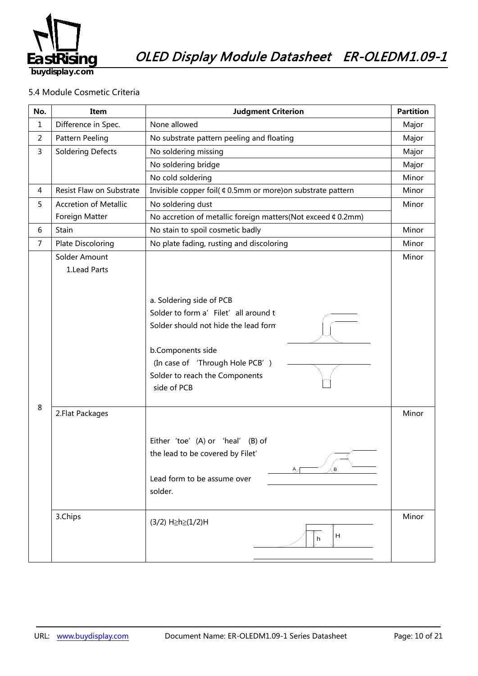

#### 5.4 Module Cosmetic Criteria

| No.            | Item                           | <b>Judgment Criterion</b>                                                                                                                                                                                          |                |
|----------------|--------------------------------|--------------------------------------------------------------------------------------------------------------------------------------------------------------------------------------------------------------------|----------------|
| $\mathbf{1}$   | Difference in Spec.            | None allowed                                                                                                                                                                                                       |                |
| $\overline{2}$ | Pattern Peeling                | No substrate pattern peeling and floating                                                                                                                                                                          | Major          |
| $\overline{3}$ | <b>Soldering Defects</b>       | No soldering missing                                                                                                                                                                                               | Major          |
|                |                                | No soldering bridge                                                                                                                                                                                                | Major          |
|                |                                | No cold soldering                                                                                                                                                                                                  | Minor          |
| 4              | Resist Flaw on Substrate       | Invisible copper foil( ¢ 0.5mm or more) on substrate pattern                                                                                                                                                       | Minor          |
| 5              | <b>Accretion of Metallic</b>   | No soldering dust                                                                                                                                                                                                  | Minor          |
|                | Foreign Matter                 | No accretion of metallic foreign matters(Not exceed ¢ 0.2mm)                                                                                                                                                       |                |
| 6              | Stain                          | No stain to spoil cosmetic badly                                                                                                                                                                                   |                |
| $\overline{7}$ | <b>Plate Discoloring</b>       | No plate fading, rusting and discoloring                                                                                                                                                                           |                |
|                | Solder Amount<br>1. Lead Parts | a. Soldering side of PCB<br>Solder to form a' Filet' all around t<br>Solder should not hide the lead form<br>b.Components side<br>(In case of 'Through Hole PCB')<br>Solder to reach the Components<br>side of PCB | Minor          |
| 8              | 2. Flat Packages<br>3.Chips    | Either 'toe' (A) or 'heal'<br>(B) of<br>the lead to be covered by Filet'<br>$\mathbf{B}$<br>A,<br>Lead form to be assume over<br>solder.<br>(3/2) H≥h≥(1/2)H<br>H<br>h                                             | Minor<br>Minor |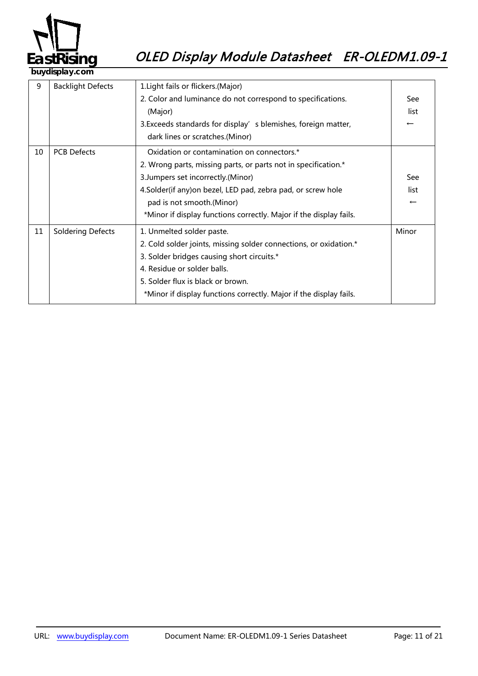

| 9  | <b>Backlight Defects</b> | 1. Light fails or flickers. (Major)                                |                          |
|----|--------------------------|--------------------------------------------------------------------|--------------------------|
|    |                          | 2. Color and luminance do not correspond to specifications.        | See                      |
|    |                          | (Major)                                                            | list                     |
|    |                          | 3. Exceeds standards for display' s blemishes, foreign matter,     | $\leftarrow$             |
|    |                          | dark lines or scratches.(Minor)                                    |                          |
| 10 | <b>PCB Defects</b>       | Oxidation or contamination on connectors.*                         |                          |
|    |                          | 2. Wrong parts, missing parts, or parts not in specification.*     |                          |
|    |                          | 3. Jumpers set incorrectly. (Minor)                                | See                      |
|    |                          | 4.Solder(if any) on bezel, LED pad, zebra pad, or screw hole       | list                     |
|    |                          | pad is not smooth.(Minor)                                          | $\overline{\phantom{m}}$ |
|    |                          | *Minor if display functions correctly. Major if the display fails. |                          |
| 11 | <b>Soldering Defects</b> | 1. Unmelted solder paste.                                          | Minor                    |
|    |                          | 2. Cold solder joints, missing solder connections, or oxidation.*  |                          |
|    |                          | 3. Solder bridges causing short circuits.*                         |                          |
|    |                          | 4. Residue or solder balls.                                        |                          |
|    |                          | 5. Solder flux is black or brown.                                  |                          |
|    |                          | *Minor if display functions correctly. Major if the display fails. |                          |
|    |                          |                                                                    |                          |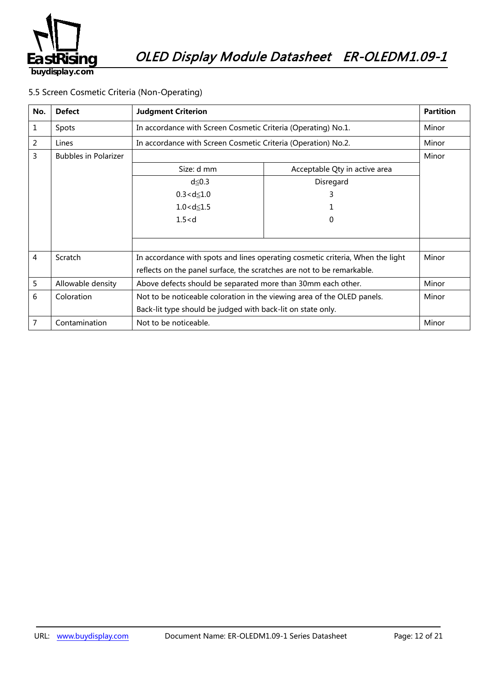

5.5 Screen Cosmetic Criteria (Non-Operating)

| No. | <b>Defect</b>               | <b>Judgment Criterion</b>                                                      |                               | <b>Partition</b> |
|-----|-----------------------------|--------------------------------------------------------------------------------|-------------------------------|------------------|
| 1   | <b>Spots</b>                | In accordance with Screen Cosmetic Criteria (Operating) No.1.                  |                               | Minor            |
| 2   | Lines                       | In accordance with Screen Cosmetic Criteria (Operation) No.2.                  |                               | Minor            |
| 3   | <b>Bubbles in Polarizer</b> |                                                                                | Minor                         |                  |
|     |                             | Size: d mm                                                                     | Acceptable Qty in active area |                  |
|     |                             | $d \leq 0.3$                                                                   | Disregard                     |                  |
|     |                             | $0.3 < d \le 1.0$                                                              | 3                             |                  |
|     |                             | $1.0 < d \le 1.5$                                                              |                               |                  |
|     |                             | 1.5 < d                                                                        | 0                             |                  |
|     |                             |                                                                                |                               |                  |
|     |                             |                                                                                |                               |                  |
| 4   | Scratch                     | In accordance with spots and lines operating cosmetic criteria, When the light |                               |                  |
|     |                             | reflects on the panel surface, the scratches are not to be remarkable.         |                               |                  |
| 5   | Allowable density           | Above defects should be separated more than 30mm each other.                   |                               | Minor            |
| 6   | Coloration                  | Not to be noticeable coloration in the viewing area of the OLED panels.        |                               | Minor            |
|     |                             | Back-lit type should be judged with back-lit on state only.                    |                               |                  |
| 7   | Contamination               | Not to be noticeable.                                                          |                               | Minor            |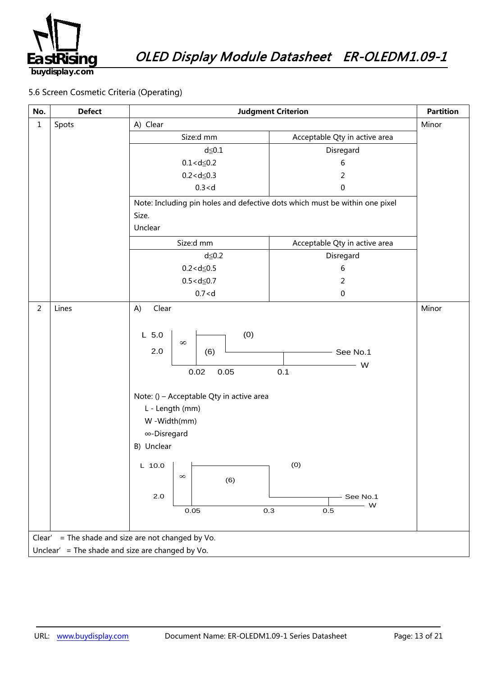

#### 5.6 Screen Cosmetic Criteria (Operating)

| No.                                                   | <b>Defect</b>                                    | <b>Judgment Criterion</b>                                                                                                                                                                                                       |                                                              | <b>Partition</b> |  |
|-------------------------------------------------------|--------------------------------------------------|---------------------------------------------------------------------------------------------------------------------------------------------------------------------------------------------------------------------------------|--------------------------------------------------------------|------------------|--|
| $\mathbf 1$                                           | Spots                                            | A) Clear                                                                                                                                                                                                                        | Minor                                                        |                  |  |
|                                                       |                                                  | Size:d mm                                                                                                                                                                                                                       | Acceptable Qty in active area                                |                  |  |
|                                                       |                                                  | $d \leq 0.1$                                                                                                                                                                                                                    | Disregard                                                    |                  |  |
|                                                       |                                                  | $0.1 < d \le 0.2$                                                                                                                                                                                                               | 6                                                            |                  |  |
|                                                       |                                                  | $0.2 < d \le 0.3$                                                                                                                                                                                                               | 2                                                            |                  |  |
|                                                       |                                                  | 0.3 < d                                                                                                                                                                                                                         | 0                                                            |                  |  |
|                                                       |                                                  | Note: Including pin holes and defective dots which must be within one pixel                                                                                                                                                     |                                                              |                  |  |
|                                                       |                                                  | Size.                                                                                                                                                                                                                           |                                                              |                  |  |
|                                                       |                                                  | Unclear                                                                                                                                                                                                                         |                                                              |                  |  |
|                                                       |                                                  | Size:d mm                                                                                                                                                                                                                       | Acceptable Qty in active area                                |                  |  |
|                                                       |                                                  | $d \leq 0.2$                                                                                                                                                                                                                    | Disregard                                                    |                  |  |
|                                                       |                                                  | $0.2 < d \le 0.5$                                                                                                                                                                                                               | 6                                                            |                  |  |
|                                                       |                                                  | $0.5 < d \le 0.7$                                                                                                                                                                                                               | 2                                                            |                  |  |
|                                                       |                                                  | 0.7 < d                                                                                                                                                                                                                         | $\pmb{0}$                                                    |                  |  |
| $\overline{2}$                                        | Lines                                            | A)<br>Clear                                                                                                                                                                                                                     |                                                              | Minor            |  |
|                                                       |                                                  | (0)<br>$L$ 5.0<br>$\infty$<br>2.0<br>(6)<br>0.05<br>0.02<br>Note: () - Acceptable Qty in active area<br>L - Length (mm)<br>W-Width(mm)<br>∞-Disregard<br>B) Unclear<br>L 10.0 $\vert$ $\vert$<br>$\infty$<br>(6)<br>2.0<br>0.05 | See No.1<br>W<br>0.1<br>(0)<br>See No.1<br>– W<br>0.3<br>0.5 |                  |  |
| = The shade and size are not changed by Vo.<br>Clear' |                                                  |                                                                                                                                                                                                                                 |                                                              |                  |  |
|                                                       | Unclear' = The shade and size are changed by Vo. |                                                                                                                                                                                                                                 |                                                              |                  |  |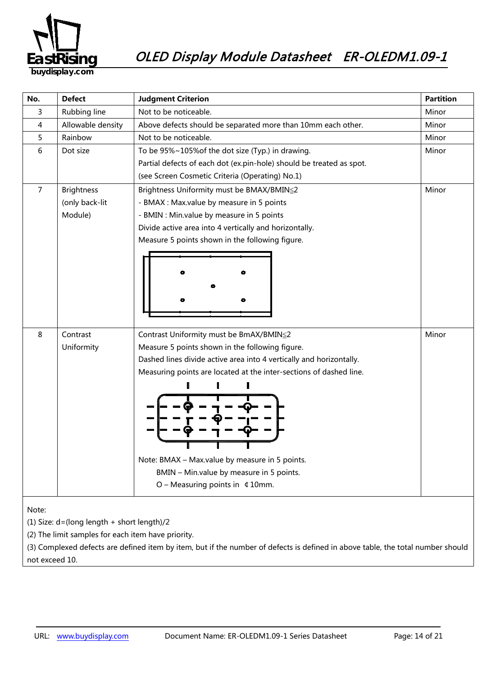

| No.                                        | <b>Defect</b>     | <b>Judgment Criterion</b>                                            | <b>Partition</b> |
|--------------------------------------------|-------------------|----------------------------------------------------------------------|------------------|
| 3                                          | Rubbing line      | Not to be noticeable.                                                | Minor            |
| 4                                          | Allowable density | Above defects should be separated more than 10mm each other.         | Minor            |
| 5                                          | Rainbow           | Not to be noticeable.                                                |                  |
| 6                                          | Dot size          | To be 95%~105% of the dot size (Typ.) in drawing.                    | Minor            |
|                                            |                   | Partial defects of each dot (ex.pin-hole) should be treated as spot. |                  |
|                                            |                   | (see Screen Cosmetic Criteria (Operating) No.1)                      |                  |
| $\overline{7}$                             | <b>Brightness</b> | Brightness Uniformity must be BMAX/BMIN≦2                            | Minor            |
|                                            | (only back-lit    | - BMAX : Max.value by measure in 5 points                            |                  |
|                                            | Module)           | - BMIN : Min.value by measure in 5 points                            |                  |
|                                            |                   | Divide active area into 4 vertically and horizontally.               |                  |
|                                            |                   | Measure 5 points shown in the following figure.                      |                  |
|                                            |                   |                                                                      |                  |
|                                            |                   |                                                                      |                  |
|                                            |                   |                                                                      |                  |
|                                            |                   |                                                                      |                  |
|                                            |                   |                                                                      |                  |
|                                            |                   |                                                                      |                  |
|                                            |                   |                                                                      |                  |
| 8                                          | Contrast          | Contrast Uniformity must be BmAX/BMIN≦2                              | Minor            |
|                                            | Uniformity        | Measure 5 points shown in the following figure.                      |                  |
|                                            |                   | Dashed lines divide active area into 4 vertically and horizontally.  |                  |
|                                            |                   | Measuring points are located at the inter-sections of dashed line.   |                  |
|                                            |                   |                                                                      |                  |
|                                            |                   |                                                                      |                  |
|                                            |                   |                                                                      |                  |
|                                            |                   |                                                                      |                  |
|                                            |                   |                                                                      |                  |
|                                            |                   |                                                                      |                  |
|                                            |                   | Note: BMAX - Max.value by measure in 5 points.                       |                  |
|                                            |                   | BMIN - Min.value by measure in 5 points.                             |                  |
|                                            |                   | O - Measuring points in $\,$ $\,$ 10mm.                              |                  |
|                                            |                   |                                                                      |                  |
| Note:                                      |                   |                                                                      |                  |
| (1) Size: d=(long length + short length)/2 |                   |                                                                      |                  |

(2) The limit samples for each item have priority.

(3) Complexed defects are defined item by item, but if the number of defects is defined in above table, the total number should not exceed 10.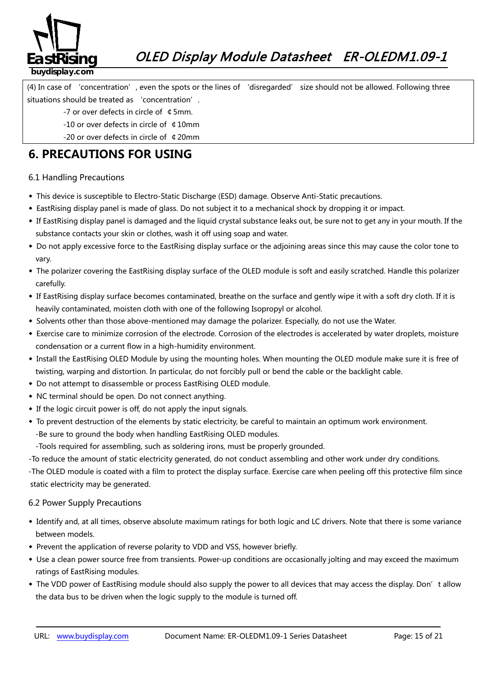

(4) In case of 'concentration', even the spots or the lines of 'disregarded' size should not be allowed. Following three situations should be treated as 'concentration'.

- -7 or over defects in circle of ¢5mm.
- -10 or over defects in circle of ¢10mm
- -20 or over defects in circle of ¢20mm

## **6. PRECAUTIONS FOR USING**

#### 6.1 Handling Precautions

- ◆ This device is susceptible to Electro-Static Discharge (ESD) damage. Observe Anti-Static precautions.
- ◆ EastRising display panel is made of glass. Do not subject it to a mechanical shock by dropping it or impact.
- ◆ If EastRising display panel is damaged and the liquid crystal substance leaks out, be sure not to get any in your mouth. If the substance contacts your skin or clothes, wash it off using soap and water.
- ◆ Do not apply excessive force to the EastRising display surface or the adjoining areas since this may cause the color tone to vary.
- ◆ The polarizer covering the EastRising display surface of the OLED module is soft and easily scratched. Handle this polarizer carefully.
- ◆ If EastRising display surface becomes contaminated, breathe on the surface and gently wipe it with a soft dry cloth. If it is heavily contaminated, moisten cloth with one of the following Isopropyl or alcohol.
- ◆ Solvents other than those above-mentioned may damage the polarizer. Especially, do not use the Water.
- ◆ Exercise care to minimize corrosion of the electrode. Corrosion of the electrodes is accelerated by water droplets, moisture condensation or a current flow in a high-humidity environment.
- ◆ Install the EastRising OLED Module by using the mounting holes. When mounting the OLED module make sure it is free of twisting, warping and distortion. In particular, do not forcibly pull or bend the cable or the backlight cable.
- ◆ Do not attempt to disassemble or process EastRising OLED module.
- ◆ NC terminal should be open. Do not connect anything.
- ◆ If the logic circuit power is off, do not apply the input signals.
- ◆ To prevent destruction of the elements by static electricity, be careful to maintain an optimum work environment. -Be sure to ground the body when handling EastRising OLED modules.

-Tools required for assembling, such as soldering irons, must be properly grounded.

-To reduce the amount of static electricity generated, do not conduct assembling and other work under dry conditions.

-The OLED module is coated with a film to protect the display surface. Exercise care when peeling off this protective film since static electricity may be generated.

#### 6.2 Power Supply Precautions

- *38B5246139B*◆ Identify and, at all times, observe absolute maximum ratings for both logic and LC drivers. Note that there is some variance between models.
- ◆ Prevent the application of reverse polarity to VDD and VSS, however briefly.
- ◆ Use a clean power source free from transients. Power-up conditions are occasionally jolting and may exceed the maximum ratings of EastRising modules.
- ◆ The VDD power of EastRising module should also supply the power to all devices that may access the display. Don't allow the data bus to be driven when the logic supply to the module is turned off.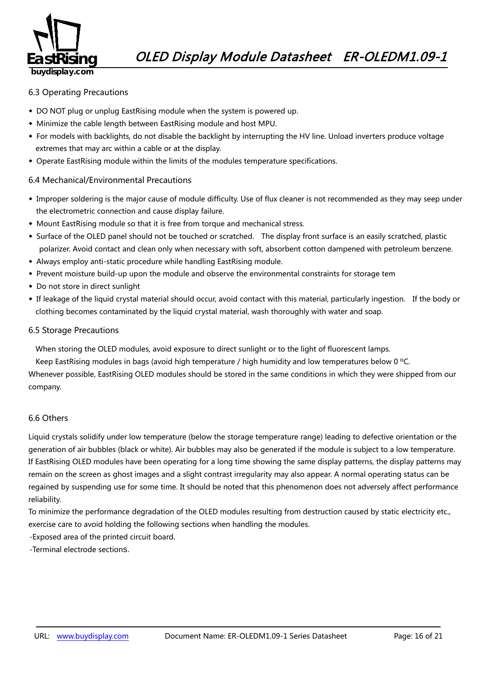

#### 6.3 Operating Precautions

- ◆ DO NOT plug or unplug EastRising module when the system is powered up.
- ◆ Minimize the cable length between EastRising module and host MPU.
- ◆ For models with backlights, do not disable the backlight by interrupting the HV line. Unload inverters produce voltage extremes that may arc within a cable or at the display.
- ◆ Operate EastRising module within the limits of the modules temperature specifications.

#### 6.4 Mechanical/Environmental Precautions

- ◆ Improper soldering is the major cause of module difficulty. Use of flux cleaner is not recommended as they may seep under the electrometric connection and cause display failure.
- ◆ Mount EastRising module so that it is free from torque and mechanical stress.
- ◆ Surface of the OLED panel should not be touched or scratched. The display front surface is an easily scratched, plastic polarizer. Avoid contact and clean only when necessary with soft, absorbent cotton dampened with petroleum benzene.
- ◆ Always employ anti-static procedure while handling EastRising module.
- ◆ Prevent moisture build-up upon the module and observe the environmental constraints for storage tem
- ◆ Do not store in direct sunlight
- ◆ If leakage of the liquid crystal material should occur, avoid contact with this material, particularly ingestion. If the body or clothing becomes contaminated by the liquid crystal material, wash thoroughly with water and soap.

#### 6.5 Storage Precautions

When storing the OLED modules, avoid exposure to direct sunlight or to the light of fluorescent lamps.

Keep EastRising modules in bags (avoid high temperature / high humidity and low temperatures below 0 ºC.

Whenever possible, EastRising OLED modules should be stored in the same conditions in which they were shipped from our company.

#### 6.6 Others

Liquid crystals solidify under low temperature (below the storage temperature range) leading to defective orientation or the generation of air bubbles (black or white). Air bubbles may also be generated if the module is subject to a low temperature. If EastRising OLED modules have been operating for a long time showing the same display patterns, the display patterns may remain on the screen as ghost images and a slight contrast irregularity may also appear. A normal operating status can be regained by suspending use for some time. It should be noted that this phenomenon does not adversely affect performance reliability.

To minimize the performance degradation of the OLED modules resulting from destruction caused by static electricity etc., exercise care to avoid holding the following sections when handling the modules.

-Exposed area of the printed circuit board.

-Terminal electrode sections.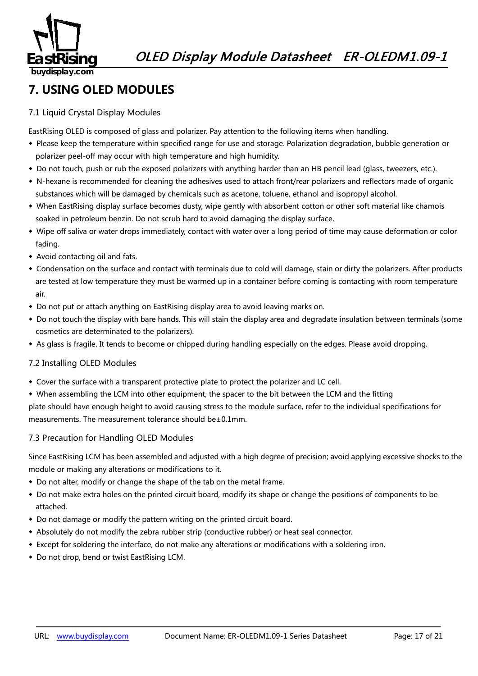

## **7. USING OLED MODULES**

#### 7.1 Liquid Crystal Display Modules

EastRising OLED is composed of glass and polarizer. Pay attention to the following items when handling.

- ◆ Please keep the temperature within specified range for use and storage. Polarization degradation, bubble generation or polarizer peel-off may occur with high temperature and high humidity.
- ◆ Do not touch, push or rub the exposed polarizers with anything harder than an HB pencil lead (glass, tweezers, etc.).
- ◆ N-hexane is recommended for cleaning the adhesives used to attach front/rear polarizers and reflectors made of organic substances which will be damaged by chemicals such as acetone, toluene, ethanol and isopropyl alcohol.
- ◆ When EastRising display surface becomes dusty, wipe gently with absorbent cotton or other soft material like chamois soaked in petroleum benzin. Do not scrub hard to avoid damaging the display surface.
- ◆ Wipe off saliva or water drops immediately, contact with water over a long period of time may cause deformation or color fading.
- ◆ Avoid contacting oil and fats.
- ◆ Condensation on the surface and contact with terminals due to cold will damage, stain or dirty the polarizers. After products are tested at low temperature they must be warmed up in a container before coming is contacting with room temperature air.
- ◆ Do not put or attach anything on EastRising display area to avoid leaving marks on.
- ◆ Do not touch the display with bare hands. This will stain the display area and degradate insulation between terminals (some cosmetics are determinated to the polarizers).
- ◆ As glass is fragile. It tends to become or chipped during handling especially on the edges. Please avoid dropping.

#### 7.2 Installing OLED Modules

- ◆ Cover the surface with a transparent protective plate to protect the polarizer and LC cell.
- ◆ When assembling the LCM into other equipment, the spacer to the bit between the LCM and the fitting

plate should have enough height to avoid causing stress to the module surface, refer to the individual specifications for measurements. The measurement tolerance should be±0.1mm.

#### 7.3 Precaution for Handling OLED Modules

Since EastRising LCM has been assembled and adjusted with a high degree of precision; avoid applying excessive shocks to the module or making any alterations or modifications to it.

- ◆ Do not alter, modify or change the shape of the tab on the metal frame.
- ◆ Do not make extra holes on the printed circuit board, modify its shape or change the positions of components to be attached.
- ◆ Do not damage or modify the pattern writing on the printed circuit board.
- ◆ Absolutely do not modify the zebra rubber strip (conductive rubber) or heat seal connector.
- ◆ Except for soldering the interface, do not make any alterations or modifications with a soldering iron.
- ◆ Do not drop, bend or twist EastRising LCM.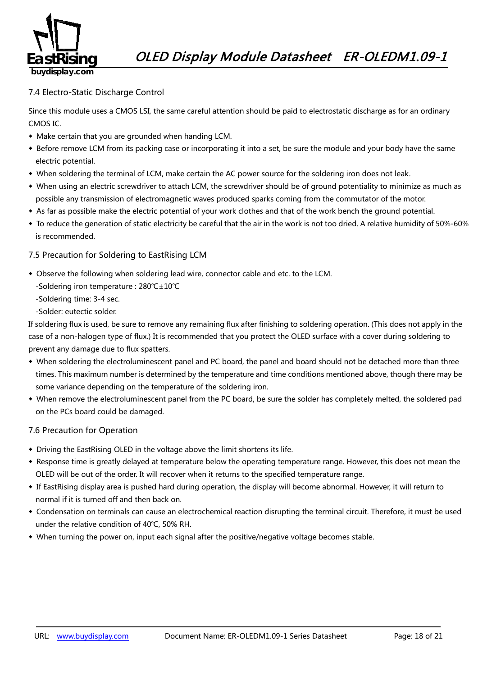

#### 7.4 Electro-Static Discharge Control

Since this module uses a CMOS LSI, the same careful attention should be paid to electrostatic discharge as for an ordinary CMOS IC.

- ◆ Make certain that you are grounded when handing LCM.
- ◆ Before remove LCM from its packing case or incorporating it into a set, be sure the module and your body have the same electric potential.
- ◆ When soldering the terminal of LCM, make certain the AC power source for the soldering iron does not leak.
- ◆ When using an electric screwdriver to attach LCM, the screwdriver should be of ground potentiality to minimize as much as possible any transmission of electromagnetic waves produced sparks coming from the commutator of the motor.
- ◆ As far as possible make the electric potential of your work clothes and that of the work bench the ground potential.
- ◆ To reduce the generation of static electricity be careful that the air in the work is not too dried. A relative humidity of 50%-60% is recommended.

#### 7.5 Precaution for Soldering to EastRising LCM

- ◆ Observe the following when soldering lead wire, connector cable and etc. to the LCM.
	- -Soldering iron temperature : 280℃±10℃
	- -Soldering time: 3-4 sec.
	- -Solder: eutectic solder.

If soldering flux is used, be sure to remove any remaining flux after finishing to soldering operation. (This does not apply in the case of a non-halogen type of flux.) It is recommended that you protect the OLED surface with a cover during soldering to prevent any damage due to flux spatters.

- ◆ When soldering the electroluminescent panel and PC board, the panel and board should not be detached more than three times. This maximum number is determined by the temperature and time conditions mentioned above, though there may be some variance depending on the temperature of the soldering iron.
- ◆ When remove the electroluminescent panel from the PC board, be sure the solder has completely melted, the soldered pad on the PCs board could be damaged.

#### 7.6 Precaution for Operation

- ◆ Driving the EastRising OLED in the voltage above the limit shortens its life.
- ◆ Response time is greatly delayed at temperature below the operating temperature range. However, this does not mean the OLED will be out of the order. It will recover when it returns to the specified temperature range.
- ◆ If EastRising display area is pushed hard during operation, the display will become abnormal. However, it will return to normal if it is turned off and then back on.
- ◆ Condensation on terminals can cause an electrochemical reaction disrupting the terminal circuit. Therefore, it must be used under the relative condition of 40℃, 50% RH.
- ◆ When turning the power on, input each signal after the positive/negative voltage becomes stable.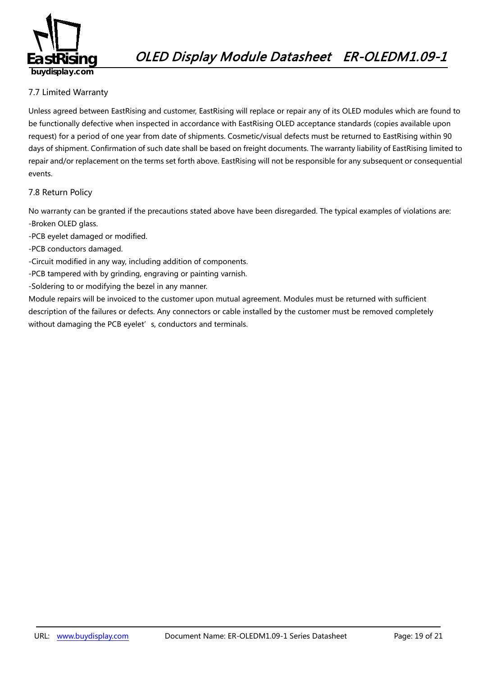

#### 7.7 Limited Warranty

*49B163*Unless agreed between EastRising and customer, EastRising will replace or repair any of its OLED modules which are found to be functionally defective when inspected in accordance with EastRising OLED acceptance standards (copies available upon request) for a period of one year from date of shipments. Cosmetic/visual defects must be returned to EastRising within 90 days of shipment. Confirmation of such date shall be based on freight documents. The warranty liability of EastRising limited to repair and/or replacement on the terms set forth above. EastRising will not be responsible for any subsequent or consequential events.

#### 7.8 Return Policy

*2B4196*No warranty can be granted if the precautions stated above have been disregarded. The typical examples of violations are: -Broken OLED glass.

- -PCB eyelet damaged or modified.
- -PCB conductors damaged.
- -Circuit modified in any way, including addition of components.
- -PCB tampered with by grinding, engraving or painting varnish.
- -Soldering to or modifying the bezel in any manner.

Module repairs will be invoiced to the customer upon mutual agreement. Modules must be returned with sufficient description of the failures or defects. Any connectors or cable installed by the customer must be removed completely without damaging the PCB eyelet's, conductors and terminals.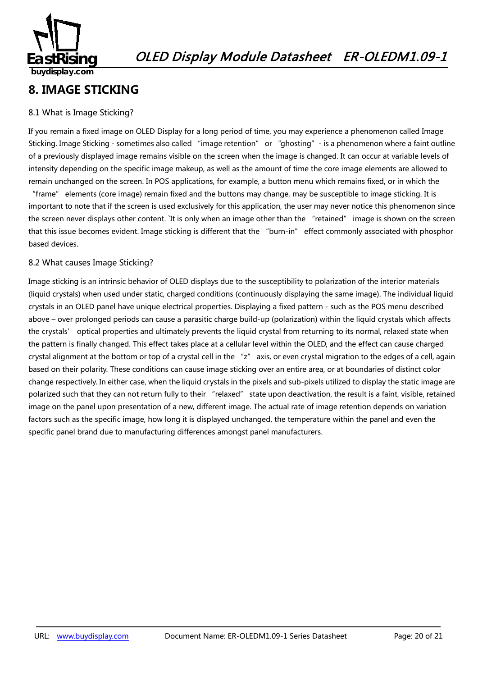

## **8. IMAGE STICKING**

#### 8.1 What is Image Sticking?

If you remain a fixed image on OLED Display for a long period of time, you may experience a phenomenon called Image Sticking. Image Sticking - sometimes also called "image retention" or "ghosting" - is a phenomenon where a faint outline of a previously displayed image remains visible on the screen when the image is changed. It can occur at variable levels of intensity depending on the specific image makeup, as well as the amount of time the core image elements are allowed to remain unchanged on the screen. In POS applications, for example, a button menu which remains fixed, or in which the

"frame" elements (core image) remain fixed and the buttons may change, may be susceptible to image sticking. It is important to note that if the screen is used exclusively for this application, the user may never notice this phenomenon since the screen never displays other content. `It is only when an image other than the "retained" image is shown on the screen that this issue becomes evident. Image sticking is different that the "burn-in" effect commonly associated with phosphor based devices.

#### 8.2 What causes Image Sticking?

Image sticking is an intrinsic behavior of OLED displays due to the susceptibility to polarization of the interior materials (liquid crystals) when used under static, charged conditions (continuously displaying the same image). The individual liquid crystals in an OLED panel have unique electrical properties. Displaying a fixed pattern - such as the POS menu described above – over prolonged periods can cause a parasitic charge build-up (polarization) within the liquid crystals which affects the crystals' optical properties and ultimately prevents the liquid crystal from returning to its normal, relaxed state when the pattern is finally changed. This effect takes place at a cellular level within the OLED, and the effect can cause charged crystal alignment at the bottom or top of a crystal cell in the "z" axis, or even crystal migration to the edges of a cell, again based on their polarity. These conditions can cause image sticking over an entire area, or at boundaries of distinct color change respectively. In either case, when the liquid crystals in the pixels and sub-pixels utilized to display the static image are polarized such that they can not return fully to their "relaxed" state upon deactivation, the result is a faint, visible, retained image on the panel upon presentation of a new, different image. The actual rate of image retention depends on variation factors such as the specific image, how long it is displayed unchanged, the temperature within the panel and even the specific panel brand due to manufacturing differences amongst panel manufacturers.